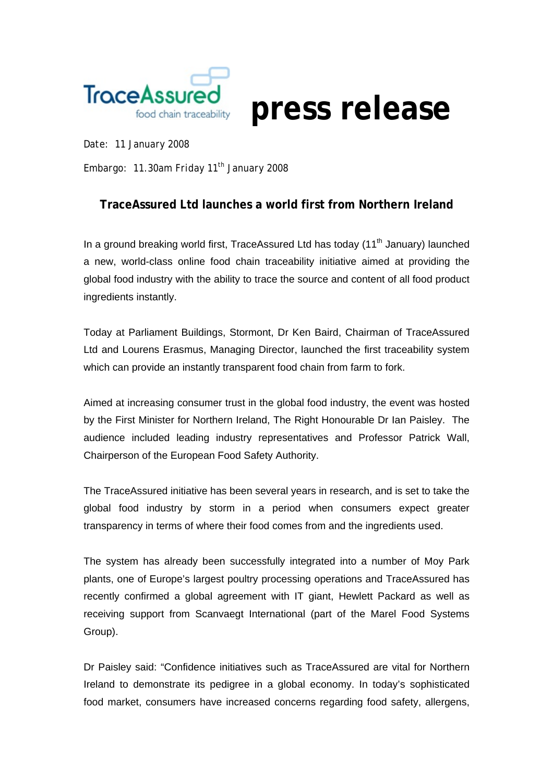

*Date: 11 January 2008* 

*Embargo: 11.30am Friday 11th January 2008* 

## **TraceAssured Ltd launches a world first from Northern Ireland**

In a ground breaking world first, TraceAssured Ltd has today  $(11<sup>th</sup>$  January) launched a new, world-class online food chain traceability initiative aimed at providing the global food industry with the ability to trace the source and content of all food product ingredients instantly.

Today at Parliament Buildings, Stormont, Dr Ken Baird, Chairman of TraceAssured Ltd and Lourens Erasmus, Managing Director, launched the first traceability system which can provide an instantly transparent food chain from farm to fork.

Aimed at increasing consumer trust in the global food industry, the event was hosted by the First Minister for Northern Ireland, The Right Honourable Dr Ian Paisley. The audience included leading industry representatives and Professor Patrick Wall, Chairperson of the European Food Safety Authority.

The TraceAssured initiative has been several years in research, and is set to take the global food industry by storm in a period when consumers expect greater transparency in terms of where their food comes from and the ingredients used.

The system has already been successfully integrated into a number of Moy Park plants, one of Europe's largest poultry processing operations and TraceAssured has recently confirmed a global agreement with IT giant, Hewlett Packard as well as receiving support from Scanvaegt International (part of the Marel Food Systems Group).

Dr Paisley said: "Confidence initiatives such as TraceAssured are vital for Northern Ireland to demonstrate its pedigree in a global economy. In today's sophisticated food market, consumers have increased concerns regarding food safety, allergens,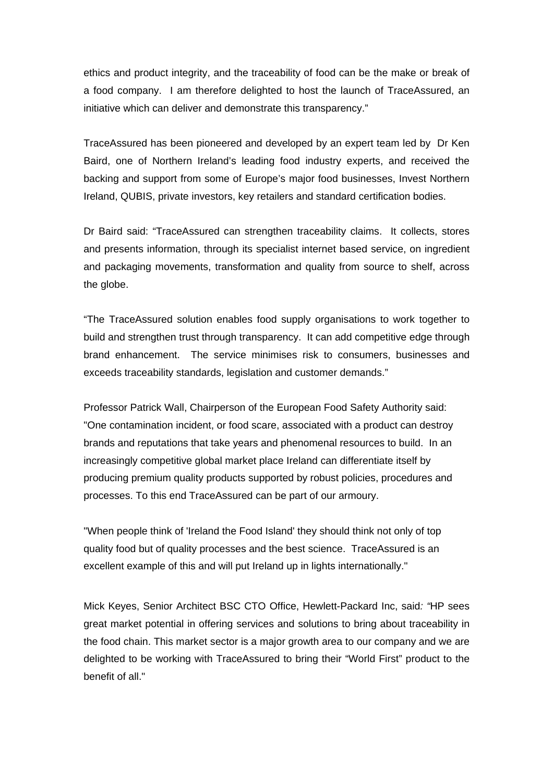ethics and product integrity, and the traceability of food can be the make or break of a food company. I am therefore delighted to host the launch of TraceAssured, an initiative which can deliver and demonstrate this transparency."

TraceAssured has been pioneered and developed by an expert team led by Dr Ken Baird, one of Northern Ireland's leading food industry experts, and received the backing and support from some of Europe's major food businesses, Invest Northern Ireland, QUBIS, private investors, key retailers and standard certification bodies.

Dr Baird said: "TraceAssured can strengthen traceability claims. It collects, stores and presents information, through its specialist internet based service, on ingredient and packaging movements, transformation and quality from source to shelf, across the globe.

"The TraceAssured solution enables food supply organisations to work together to build and strengthen trust through transparency. It can add competitive edge through brand enhancement. The service minimises risk to consumers, businesses and exceeds traceability standards, legislation and customer demands."

Professor Patrick Wall, Chairperson of the European Food Safety Authority said: "One contamination incident, or food scare, associated with a product can destroy brands and reputations that take years and phenomenal resources to build. In an increasingly competitive global market place Ireland can differentiate itself by producing premium quality products supported by robust policies, procedures and processes. To this end TraceAssured can be part of our armoury.

"When people think of 'Ireland the Food Island' they should think not only of top quality food but of quality processes and the best science. TraceAssured is an excellent example of this and will put Ireland up in lights internationally."

Mick Keyes, Senior Architect BSC CTO Office, Hewlett-Packard Inc, said*: "*HP sees great market potential in offering services and solutions to bring about traceability in the food chain. This market sector is a major growth area to our company and we are delighted to be working with TraceAssured to bring their "World First" product to the benefit of all."